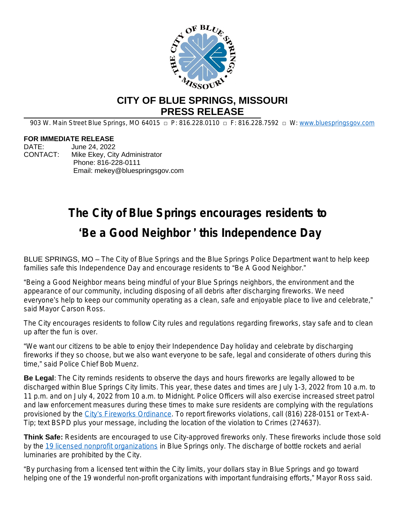

## **CITY OF BLUE SPRINGS, MISSOURI PRESS RELEASE**

903 W. Main Street Blue Springs, MO 64015 □ P: 816.228.0110 □ F: 816.228.7592 □ W: www.bluespringsgov.com

## **FOR IMMEDIATE RELEASE**

DATE: June 24, 2022 CONTACT: Mike Ekey, City Administrator Phone: 816-228-0111 Email: mekey@bluespringsgov.com

## **The City of Blue Springs encourages residents to** '**Be a Good Neighbor** ' **this Independence Day**

BLUE SPRINGS, MO – The City of Blue Springs and the Blue Springs Police Department want to help keep families safe this Independence Day and encourage residents to "Be A Good Neighbor."

"Being a Good Neighbor means being mindful of your Blue Springs neighbors, the environment and the appearance of our community, including disposing of all debris after discharging fireworks. We need everyone's help to keep our community operating as a clean, safe and enjoyable place to live and celebrate," said Mayor Carson Ross.

The City encourages residents to follow City rules and regulations regarding fireworks, stay safe and to clean up after the fun is over.

"We want our citizens to be able to enjoy their Independence Day holiday and celebrate by discharging fireworks if they so choose, but we also want everyone to be safe, legal and considerate of others during this time," said Police Chief Bob Muenz.

**Be Legal**: The City reminds residents to observe the days and hours fireworks are legally allowed to be discharged within Blue Springs City limits. This year, these dates and times are July 1-3, 2022 from 10 a.m. to 11 p.m. and on July 4, 2022 from 10 a.m. to Midnight. Police Officers will also exercise increased street patrol and law enforcement measures during these times to make sure residents are complying with the regulations provisioned by the City'[s Fireworks Ordinance](https://ecode360.com/28242308). To report fireworks violations, call (816) 228-0151 or Text-A-Tip; text BSPD plus your message, including the location of the violation to Crimes (274637).

**Think Safe:** Residents are encouraged to use City-approved fireworks only. These fireworks include those sold by the [19 licensed nonprofit organizations](https://www.bluespringsgov.com/DocumentCenter/View/14496/FireworksVendors) in Blue Springs only. The discharge of bottle rockets and aerial luminaries are prohibited by the City.

"By purchasing from a licensed tent within the City limits, your dollars stay in Blue Springs and go toward helping one of the 19 wonderful non-profit organizations with important fundraising efforts," Mayor Ross said.